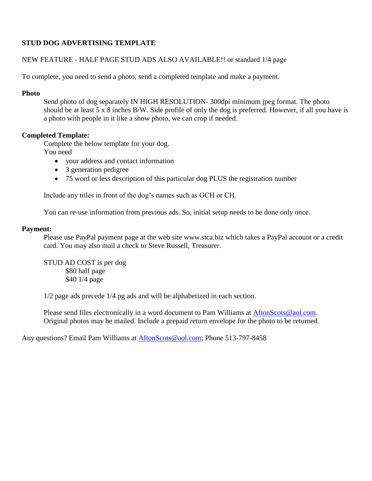## **STUD DOG ADVERTISING TEMPLATE**

#### NEW FEATURE - HALF PAGE STUD ADS ALSO AVAILABLE!! or standard 1/4 page

To complete, you need to send a photo, send a completed template and make a payment.

#### **Photo**

Send photo of dog separately IN HIGH RESOLUTION-300 dpi minimum jpeg format. The photo should be at least 5 x 8 inches B/W. Side profile of only the dog is preferred. However, if all you have is a photo with people in it like a show photo, we can crop if needed.

#### **Completed Template:**

Complete the below template for your dog. You need

- your address and contact information
- 3 generation pedigree
- 75 word or less description of this particular dog PLUS the registration number

Include any titles in front of the dog's names such as GCH or CH.

You can re-use information from previous ads. So, initial setup needs to be done only once.

#### **Payment:**

Please use PayPal payment page at the web site www.stca.biz which takes a PayPal account or a credit card. You may also mail a check to Steve Russell, Treasurer.

STUD AD COST is per dog \$80 half page \$40 1/4 page

1/2 page ads precede 1/4 pg ads and will be alphabetized in each section.

Please send files electronically in a word document to Pam Williams at [AftonScots@aol.com.](mailto:AftonScots@aol.com) Original photos may be mailed. Include a prepaid return envelope for the photo to be returned.

Any questions? Email Pam Williams at [AftonScots@aol.com;](mailto:AftonScots@aol.com) Phone 513-797-8458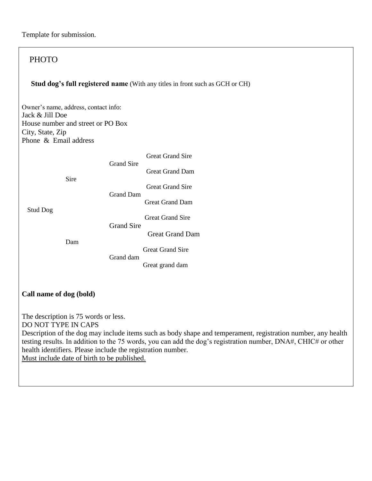## PHOTO  **Stud dog's full registered name** (With any titles in front such as GCH or CH) Owner's name, address, contact info: Jack & Jill Doe House number and street or PO Box City, State, Zip Phone & Email address Great Grand Sire Grand Sire Great Grand Dam Sire Great Grand Sire Grand Dam Great Grand Dam Stud Dog Great Grand Sire Grand Sire Great Grand Dam Dam Great Grand Sire Grand dam Great grand dam **Call name of dog (bold)** The description is 75 words or less. DO NOT TYPE IN CAPS Description of the dog may include items such as body shape and temperament, registration number, any health testing results. In addition to the 75 words, you can add the dog's registration number, DNA#, CHIC# or other

health identifiers. Please include the registration number. Must include date of birth to be published.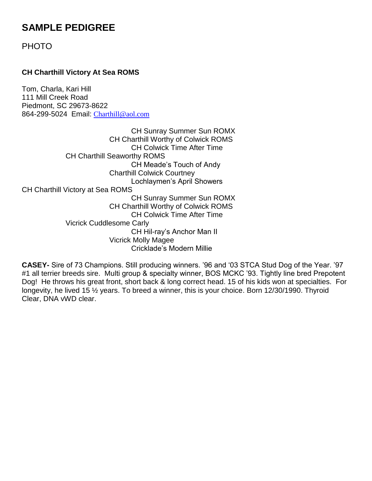# **SAMPLE PEDIGREE**

PHOTO

## **CH Charthill Victory At Sea ROMS**

Tom, Charla, Kari Hill 111 Mill Creek Road Piedmont, SC 29673-8622 864-299-5024 Email: [Charthill@aol.com](mailto:Charthill@aol.com)

CH Sunray Summer Sun ROMX CH Charthill Worthy of Colwick ROMS CH Colwick Time After Time CH Charthill Seaworthy ROMS CH Meade's Touch of Andy Charthill Colwick Courtney Lochlaymen's April Showers CH Charthill Victory at Sea ROMS CH Sunray Summer Sun ROMX CH Charthill Worthy of Colwick ROMS CH Colwick Time After Time Vicrick Cuddlesome Carly CH Hil-ray's Anchor Man II Vicrick Molly Magee Cricklade's Modern Millie

**CASEY-** Sire of 73 Champions. Still producing winners. '96 and '03 STCA Stud Dog of the Year. '97 #1 all terrier breeds sire. Multi group & specialty winner, BOS MCKC '93. Tightly line bred Prepotent Dog! He throws his great front, short back & long correct head. 15 of his kids won at specialties. For longevity, he lived 15 ½ years. To breed a winner, this is your choice. Born 12/30/1990. Thyroid Clear, DNA vWD clear.